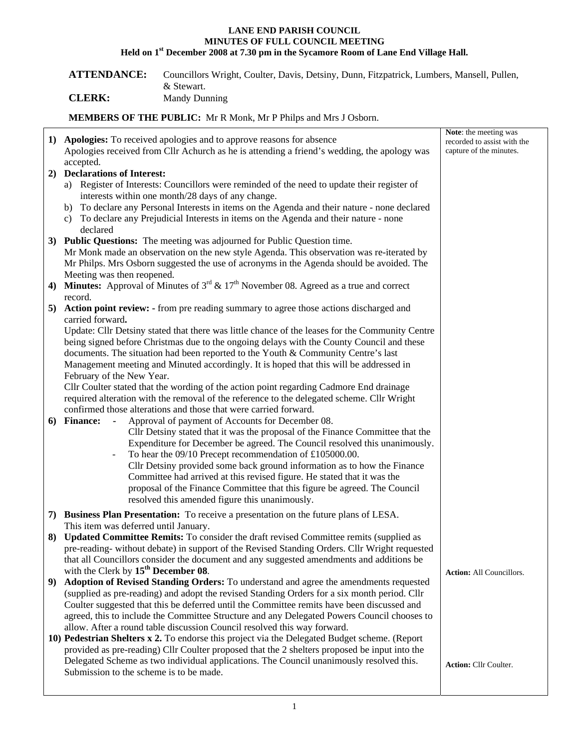## **LANE END PARISH COUNCIL MINUTES OF FULL COUNCIL MEETING Held on 1st December 2008 at 7.30 pm in the Sycamore Room of Lane End Village Hall.**

**ATTENDANCE:** Councillors Wright, Coulter, Davis, Detsiny, Dunn, Fitzpatrick, Lumbers, Mansell, Pullen, & Stewart.

**CLERK:** Mandy Dunning

**MEMBERS OF THE PUBLIC:** Mr R Monk, Mr P Philps and Mrs J Osborn.

|    | 1) Apologies: To received apologies and to approve reasons for absence<br>Apologies received from Cllr Achurch as he is attending a friend's wedding, the apology was                          | Note: the meeting was<br>recorded to assist with the<br>capture of the minutes. |
|----|------------------------------------------------------------------------------------------------------------------------------------------------------------------------------------------------|---------------------------------------------------------------------------------|
|    | accepted.                                                                                                                                                                                      |                                                                                 |
|    | 2) Declarations of Interest:                                                                                                                                                                   |                                                                                 |
|    | a) Register of Interests: Councillors were reminded of the need to update their register of                                                                                                    |                                                                                 |
|    | interests within one month/28 days of any change.                                                                                                                                              |                                                                                 |
|    | b) To declare any Personal Interests in items on the Agenda and their nature - none declared                                                                                                   |                                                                                 |
|    | c) To declare any Prejudicial Interests in items on the Agenda and their nature - none                                                                                                         |                                                                                 |
|    | declared                                                                                                                                                                                       |                                                                                 |
|    | 3) Public Questions: The meeting was adjourned for Public Question time.                                                                                                                       |                                                                                 |
|    | Mr Monk made an observation on the new style Agenda. This observation was re-iterated by<br>Mr Philps. Mrs Osborn suggested the use of acronyms in the Agenda should be avoided. The           |                                                                                 |
|    | Meeting was then reopened.                                                                                                                                                                     |                                                                                 |
| 4) | <b>Minutes:</b> Approval of Minutes of $3^{rd}$ & $17^{th}$ November 08. Agreed as a true and correct                                                                                          |                                                                                 |
|    | record.                                                                                                                                                                                        |                                                                                 |
|    | 5) Action point review: - from pre reading summary to agree those actions discharged and                                                                                                       |                                                                                 |
|    | carried forward.                                                                                                                                                                               |                                                                                 |
|    | Update: Cllr Detsiny stated that there was little chance of the leases for the Community Centre                                                                                                |                                                                                 |
|    | being signed before Christmas due to the ongoing delays with the County Council and these                                                                                                      |                                                                                 |
|    | documents. The situation had been reported to the Youth & Community Centre's last                                                                                                              |                                                                                 |
|    | Management meeting and Minuted accordingly. It is hoped that this will be addressed in                                                                                                         |                                                                                 |
|    | February of the New Year.                                                                                                                                                                      |                                                                                 |
|    | Cllr Coulter stated that the wording of the action point regarding Cadmore End drainage                                                                                                        |                                                                                 |
|    | required alteration with the removal of the reference to the delegated scheme. Cllr Wright                                                                                                     |                                                                                 |
|    | confirmed those alterations and those that were carried forward.                                                                                                                               |                                                                                 |
|    | Approval of payment of Accounts for December 08.<br>6) Finance: -                                                                                                                              |                                                                                 |
|    | Cllr Detsiny stated that it was the proposal of the Finance Committee that the<br>Expenditure for December be agreed. The Council resolved this unanimously.                                   |                                                                                 |
|    | To hear the 09/10 Precept recommendation of £105000.00.                                                                                                                                        |                                                                                 |
|    | Cllr Detsiny provided some back ground information as to how the Finance                                                                                                                       |                                                                                 |
|    | Committee had arrived at this revised figure. He stated that it was the                                                                                                                        |                                                                                 |
|    | proposal of the Finance Committee that this figure be agreed. The Council                                                                                                                      |                                                                                 |
|    | resolved this amended figure this unanimously.                                                                                                                                                 |                                                                                 |
|    | 7) Business Plan Presentation: To receive a presentation on the future plans of LESA.                                                                                                          |                                                                                 |
|    | This item was deferred until January.                                                                                                                                                          |                                                                                 |
|    | 8) Updated Committee Remits: To consider the draft revised Committee remits (supplied as                                                                                                       |                                                                                 |
|    | pre-reading-without debate) in support of the Revised Standing Orders. Cllr Wright requested                                                                                                   |                                                                                 |
|    | that all Councillors consider the document and any suggested amendments and additions be                                                                                                       |                                                                                 |
|    | with the Clerk by $15th$ December 08.                                                                                                                                                          | <b>Action:</b> All Councillors.                                                 |
| 9) | Adoption of Revised Standing Orders: To understand and agree the amendments requested                                                                                                          |                                                                                 |
|    | (supplied as pre-reading) and adopt the revised Standing Orders for a six month period. Cllr                                                                                                   |                                                                                 |
|    | Coulter suggested that this be deferred until the Committee remits have been discussed and                                                                                                     |                                                                                 |
|    | agreed, this to include the Committee Structure and any Delegated Powers Council chooses to                                                                                                    |                                                                                 |
|    | allow. After a round table discussion Council resolved this way forward.                                                                                                                       |                                                                                 |
|    | 10) Pedestrian Shelters x 2. To endorse this project via the Delegated Budget scheme. (Report<br>provided as pre-reading) Cllr Coulter proposed that the 2 shelters proposed be input into the |                                                                                 |
|    | Delegated Scheme as two individual applications. The Council unanimously resolved this.                                                                                                        |                                                                                 |
|    | Submission to the scheme is to be made.                                                                                                                                                        | <b>Action: Cllr Coulter.</b>                                                    |
|    |                                                                                                                                                                                                |                                                                                 |